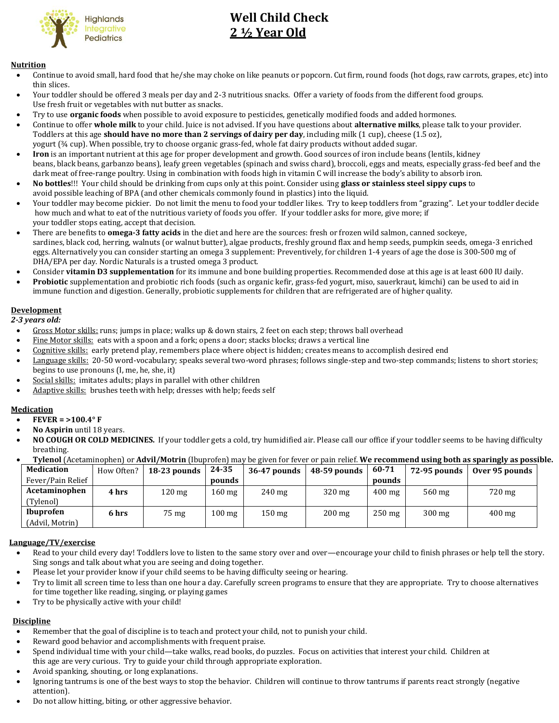

# **Well Child Check 2 ½ Year Old**

#### **Nutrition**

- Continue to avoid small, hard food that he/she may choke on like peanuts or popcorn. Cut firm, round foods (hot dogs, raw carrots, grapes, etc) into thin slices.
- Your toddler should be offered 3 meals per day and 2-3 nutritious snacks. Offer a variety of foods from the different food groups. Use fresh fruit or vegetables with nut butter as snacks.
- Try to use **organic foods** when possible to avoid exposure to pesticides, genetically modified foods and added hormones.
- Continue to offer **whole milk** to your child. Juice is not advised. If you have questions about **alternative milks**, please talk to your provider. Toddlers at this age **should have no more than 2 servings of dairy per day**, including milk (1 cup), cheese (1.5 oz), yogurt (¾ cup). When possible, try to choose organic grass-fed, whole fat dairy products without added sugar.
- **Iron** is an important nutrient at this age for proper development and growth. Good sources of iron include beans (lentils, kidney beans, black beans, garbanzo beans), leafy green vegetables (spinach and swiss chard), broccoli, eggs and meats, especially grass-fed beef and the dark meat of free-range poultry. Using in combination with foods high in vitamin C will increase the body's ability to absorb iron.
- **No bottles**!!! Your child should be drinking from cups only at this point. Consider using **glass or stainless steel sippy cups** to avoid possible leaching of BPA (and other chemicals commonly found in plastics) into the liquid.
- Your toddler may become pickier. Do not limit the menu to food your toddler likes. Try to keep toddlers from "grazing". Let your toddler decide how much and what to eat of the nutritious variety of foods you offer. If your toddler asks for more, give more; if your toddler stops eating, accept that decision.
- There are benefits to **omega-3 fatty acids** in the diet and here are the sources: fresh or frozen wild salmon, canned sockeye, sardines, black cod, herring, walnuts (or walnut butter), algae products, freshly ground flax and hemp seeds, pumpkin seeds, omega-3 enriched eggs. Alternatively you can consider starting an omega 3 supplement: Preventively, for children 1-4 years of age the dose is 300-500 mg of DHA/EPA per day. Nordic Naturals is a trusted omega 3 product.
- Consider **vitamin D3 supplementation** for its immune and bone building properties. Recommended dose at this age is at least 600 IU daily.
- **Probiotic** supplementation and probiotic rich foods (such as organic kefir, grass-fed yogurt, miso, sauerkraut, kimchi) can be used to aid in immune function and digestion. Generally, probiotic supplements for children that are refrigerated are of higher quality.

### **Development**

 *2-3 years old:*

- Gross Motor skills: runs; jumps in place; walks up & down stairs, 2 feet on each step; throws ball overhead
- Fine Motor skills: eats with a spoon and a fork; opens a door; stacks blocks; draws a vertical line
- Cognitive skills: early pretend play, remembers place where object is hidden; creates means to accomplish desired end
- Language skills: 20-50 word-vocabulary; speaks several two-word phrases; follows single-step and two-step commands; listens to short stories; begins to use pronouns (I, me, he, she, it)
- Social skills: imitates adults; plays in parallel with other children
- Adaptive skills: brushes teeth with help; dresses with help; feeds self

#### **Medication**

- **FEVER = >100.4° F**
- **No Aspirin** until 18 years.
- **NO COUGH OR COLD MEDICINES.** If your toddler gets a cold, try humidified air. Please call our office if your toddler seems to be having difficulty breathing.
- **Tylenol** (Acetaminophen) or **Advil/Motrin** (Ibuprofen) may be given for fever or pain relief. **We recommend using both as sparingly as possible.**

| Medication        | How Often? | 18-23 pounds     | 24-35            | 36-47 pounds     | 48-59 pounds     | 60-71            | <b>72-95 pounds</b> | Over 95 pounds   |
|-------------------|------------|------------------|------------------|------------------|------------------|------------------|---------------------|------------------|
| Fever/Pain Relief |            |                  | pounds           |                  |                  | pounds           |                     |                  |
| Acetaminophen     | 4 hrs      | $120 \text{ mg}$ | $160 \text{ mg}$ | $240$ mg         | $320$ mg         | $400 \text{ mg}$ | 560 mg              | 720 mg           |
| (Tylenol)         |            |                  |                  |                  |                  |                  |                     |                  |
| <b>Ibuprofen</b>  | 6 hrs      | 75 mg            | $100 \text{ mg}$ | $150 \text{ mg}$ | $200 \text{ mg}$ | $250 \text{ mg}$ | $300 \text{ mg}$    | $400 \text{ mg}$ |
| (Advil, Motrin)   |            |                  |                  |                  |                  |                  |                     |                  |

#### **Language/TV/exercise**

- Read to your child every day! Toddlers love to listen to the same story over and over—encourage your child to finish phrases or help tell the story. Sing songs and talk about what you are seeing and doing together.
- Please let your provider know if your child seems to be having difficulty seeing or hearing.
- Try to limit all screen time to less than one hour a day. Carefully screen programs to ensure that they are appropriate. Try to choose alternatives for time together like reading, singing, or playing games
- Try to be physically active with your child!

## **Discipline**

- Remember that the goal of discipline is to teach and protect your child, not to punish your child.
- Reward good behavior and accomplishments with frequent praise.
- Spend individual time with your child—take walks, read books, do puzzles. Focus on activities that interest your child. Children at this age are very curious. Try to guide your child through appropriate exploration.
- Avoid spanking, shouting, or long explanations.
- Ignoring tantrums is one of the best ways to stop the behavior. Children will continue to throw tantrums if parents react strongly (negative attention).
- Do not allow hitting, biting, or other aggressive behavior.